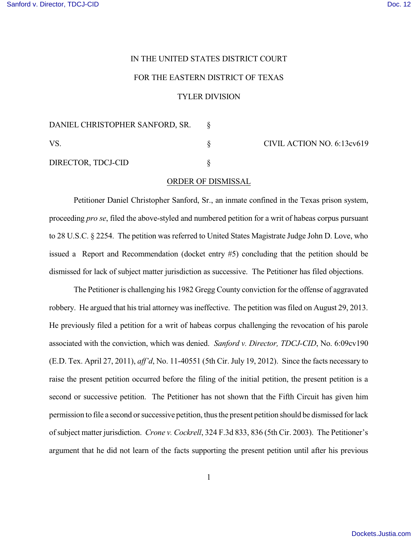## IN THE UNITED STATES DISTRICT COURT

## FOR THE EASTERN DISTRICT OF TEXAS

## TYLER DIVISION

| DANIEL CHRISTOPHER SANFORD, SR. |                            |
|---------------------------------|----------------------------|
| VS.                             | CIVIL ACTION NO. 6:13cv619 |
| DIRECTOR, TDCJ-CID              |                            |

## ORDER OF DISMISSAL

Petitioner Daniel Christopher Sanford, Sr., an inmate confined in the Texas prison system, proceeding *pro se*, filed the above-styled and numbered petition for a writ of habeas corpus pursuant to 28 U.S.C. § 2254. The petition was referred to United States Magistrate Judge John D. Love, who issued a Report and Recommendation (docket entry #5) concluding that the petition should be dismissed for lack of subject matter jurisdiction as successive. The Petitioner has filed objections.

The Petitioner is challenging his 1982 Gregg County conviction for the offense of aggravated robbery. He argued that his trial attorney was ineffective. The petition was filed on August 29, 2013. He previously filed a petition for a writ of habeas corpus challenging the revocation of his parole associated with the conviction, which was denied. *Sanford v. Director, TDCJ-CID*, No. 6:09cv190 (E.D. Tex. April 27, 2011), *aff'd*, No. 11-40551 (5th Cir. July 19, 2012). Since the facts necessary to raise the present petition occurred before the filing of the initial petition, the present petition is a second or successive petition. The Petitioner has not shown that the Fifth Circuit has given him permission to file a second or successive petition, thus the present petition should be dismissed for lack of subject matter jurisdiction. *Crone v. Cockrell*, 324 F.3d 833, 836 (5th Cir. 2003). The Petitioner's argument that he did not learn of the facts supporting the present petition until after his previous